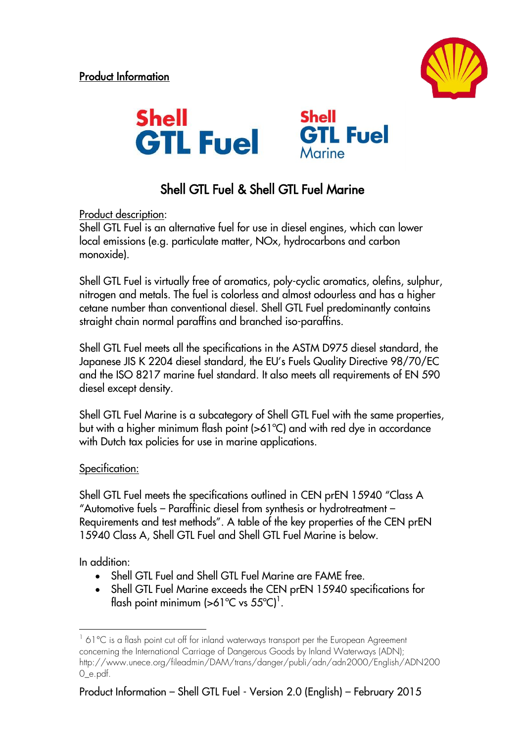



## Shell GTL Fuel & Shell GTL Fuel Marine

Product description:

Shell GTL Fuel is an alternative fuel for use in diesel engines, which can lower local emissions (e.g. particulate matter, NOx, hydrocarbons and carbon monoxide).

Shell GTL Fuel is virtually free of aromatics, poly-cyclic aromatics, olefins, sulphur, nitrogen and metals. The fuel is colorless and almost odourless and has a higher cetane number than conventional diesel. Shell GTL Fuel predominantly contains straight chain normal paraffins and branched iso-paraffins.

Shell GTL Fuel meets all the specifications in the ASTM D975 diesel standard, the Japanese JIS K 2204 diesel standard, the EU's Fuels Quality Directive 98/70/EC and the ISO 8217 marine fuel standard. It also meets all requirements of EN 590 diesel except density.

Shell GTL Fuel Marine is a subcategory of Shell GTL Fuel with the same properties, but with a higher minimum flash point (>61ºC) and with red dye in accordance with Dutch tax policies for use in marine applications.

## Specification:

Shell GTL Fuel meets the specifications outlined in CEN prEN 15940 "Class A "Automotive fuels – Paraffinic diesel from synthesis or hydrotreatment – Requirements and test methods". A table of the key properties of the CEN prEN 15940 Class A, Shell GTL Fuel and Shell GTL Fuel Marine is below.

In addition:

1

- Shell GTL Fuel and Shell GTL Fuel Marine are FAME free.
- Shell GTL Fuel Marine exceeds the CEN prEN 15940 specifications for flash point minimum (>61°C vs 55°C)<sup>1</sup>.

<sup>&</sup>lt;sup>1</sup> 61 °C is a flash point cut off for inland waterways transport per the European Agreement concerning the International Carriage of Dangerous Goods by Inland Waterways (ADN); http://www.unece.org/fileadmin/DAM/trans/danger/publi/adn/adn2000/English/ADN200 0\_e.pdf.